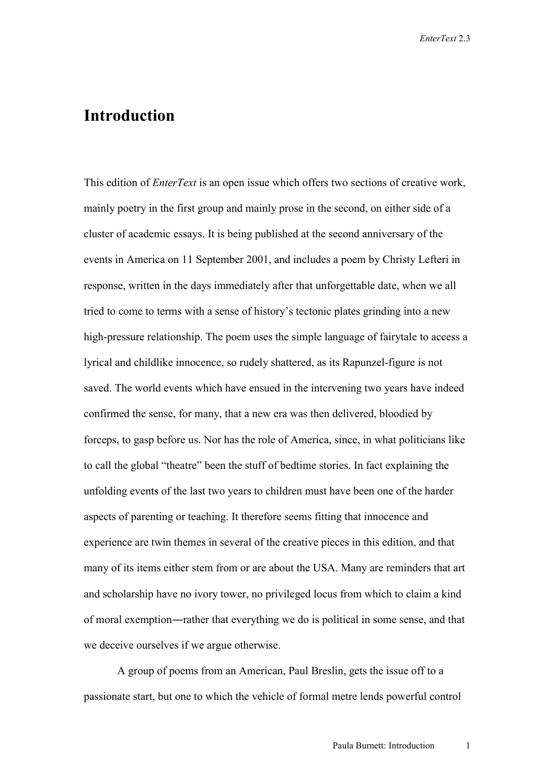## **Introduction**

This edition of *EnterText* is an open issue which offers two sections of creative work, mainly poetry in the first group and mainly prose in the second, on either side of a cluster of academic essays. It is being published at the second anniversary of the events in America on 11 September 2001, and includes a poem by Christy Lefteri in response, written in the days immediately after that unforgettable date, when we all tried to come to terms with a sense of history's tectonic plates grinding into a new high-pressure relationship. The poem uses the simple language of fairytale to access a lyrical and childlike innocence, so rudely shattered, as its Rapunzel-figure is not saved. The world events which have ensued in the intervening two years have indeed confirmed the sense, for many, that a new era was then delivered, bloodied by forceps, to gasp before us. Nor has the role of America, since, in what politicians like to call the global "theatre" been the stuff of bedtime stories. In fact explaining the unfolding events of the last two years to children must have been one of the harder aspects of parenting or teaching. It therefore seems fitting that innocence and experience are twin themes in several of the creative pieces in this edition, and that many of its items either stem from or are about the USA. Many are reminders that art and scholarship have no ivory tower, no privileged locus from which to claim a kind of moral exemption―rather that everything we do is political in some sense, and that we deceive ourselves if we argue otherwise.

A group of poems from an American, Paul Breslin, gets the issue off to a passionate start, but one to which the vehicle of formal metre lends powerful control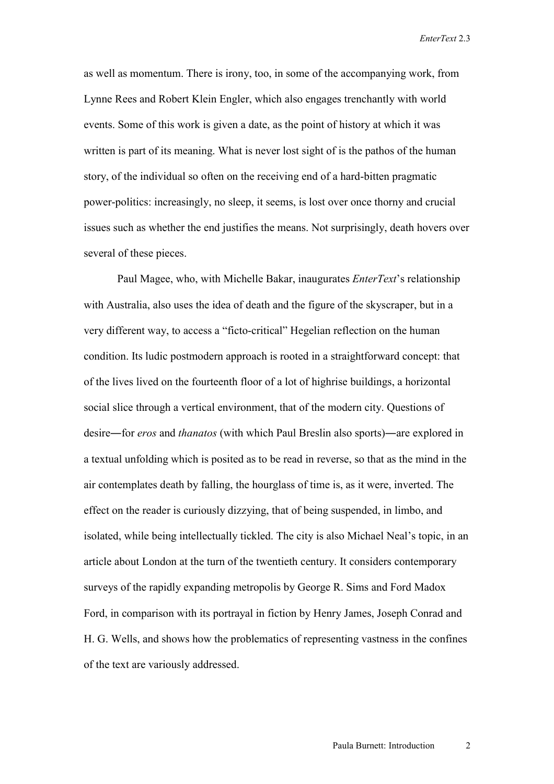*EnterText* 2.3

as well as momentum. There is irony, too, in some of the accompanying work, from Lynne Rees and Robert Klein Engler, which also engages trenchantly with world events. Some of this work is given a date, as the point of history at which it was written is part of its meaning. What is never lost sight of is the pathos of the human story, of the individual so often on the receiving end of a hard-bitten pragmatic power-politics: increasingly, no sleep, it seems, is lost over once thorny and crucial issues such as whether the end justifies the means. Not surprisingly, death hovers over several of these pieces.

 Paul Magee, who, with Michelle Bakar, inaugurates *EnterText*'s relationship with Australia, also uses the idea of death and the figure of the skyscraper, but in a very different way, to access a "ficto-critical" Hegelian reflection on the human condition. Its ludic postmodern approach is rooted in a straightforward concept: that of the lives lived on the fourteenth floor of a lot of highrise buildings, a horizontal social slice through a vertical environment, that of the modern city. Questions of desire―for *eros* and *thanatos* (with which Paul Breslin also sports)―are explored in a textual unfolding which is posited as to be read in reverse, so that as the mind in the air contemplates death by falling, the hourglass of time is, as it were, inverted. The effect on the reader is curiously dizzying, that of being suspended, in limbo, and isolated, while being intellectually tickled. The city is also Michael Neal's topic, in an article about London at the turn of the twentieth century. It considers contemporary surveys of the rapidly expanding metropolis by George R. Sims and Ford Madox Ford, in comparison with its portrayal in fiction by Henry James, Joseph Conrad and H. G. Wells, and shows how the problematics of representing vastness in the confines of the text are variously addressed.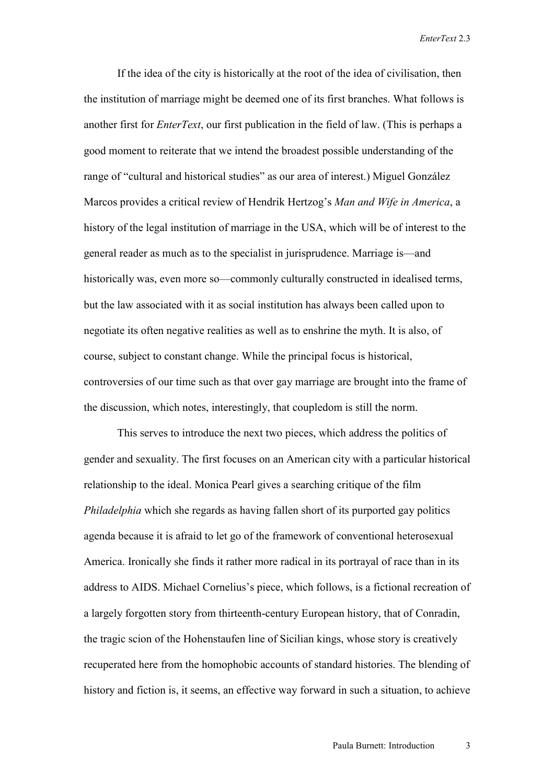*EnterText* 2.3

If the idea of the city is historically at the root of the idea of civilisation, then the institution of marriage might be deemed one of its first branches. What follows is another first for *EnterText*, our first publication in the field of law. (This is perhaps a good moment to reiterate that we intend the broadest possible understanding of the range of "cultural and historical studies" as our area of interest.) Miguel González Marcos provides a critical review of Hendrik Hertzog's *Man and Wife in America*, a history of the legal institution of marriage in the USA, which will be of interest to the general reader as much as to the specialist in jurisprudence. Marriage is—and historically was, even more so—commonly culturally constructed in idealised terms, but the law associated with it as social institution has always been called upon to negotiate its often negative realities as well as to enshrine the myth. It is also, of course, subject to constant change. While the principal focus is historical, controversies of our time such as that over gay marriage are brought into the frame of the discussion, which notes, interestingly, that coupledom is still the norm.

This serves to introduce the next two pieces, which address the politics of gender and sexuality. The first focuses on an American city with a particular historical relationship to the ideal. Monica Pearl gives a searching critique of the film *Philadelphia* which she regards as having fallen short of its purported gay politics agenda because it is afraid to let go of the framework of conventional heterosexual America. Ironically she finds it rather more radical in its portrayal of race than in its address to AIDS. Michael Cornelius's piece, which follows, is a fictional recreation of a largely forgotten story from thirteenth-century European history, that of Conradin, the tragic scion of the Hohenstaufen line of Sicilian kings, whose story is creatively recuperated here from the homophobic accounts of standard histories. The blending of history and fiction is, it seems, an effective way forward in such a situation, to achieve